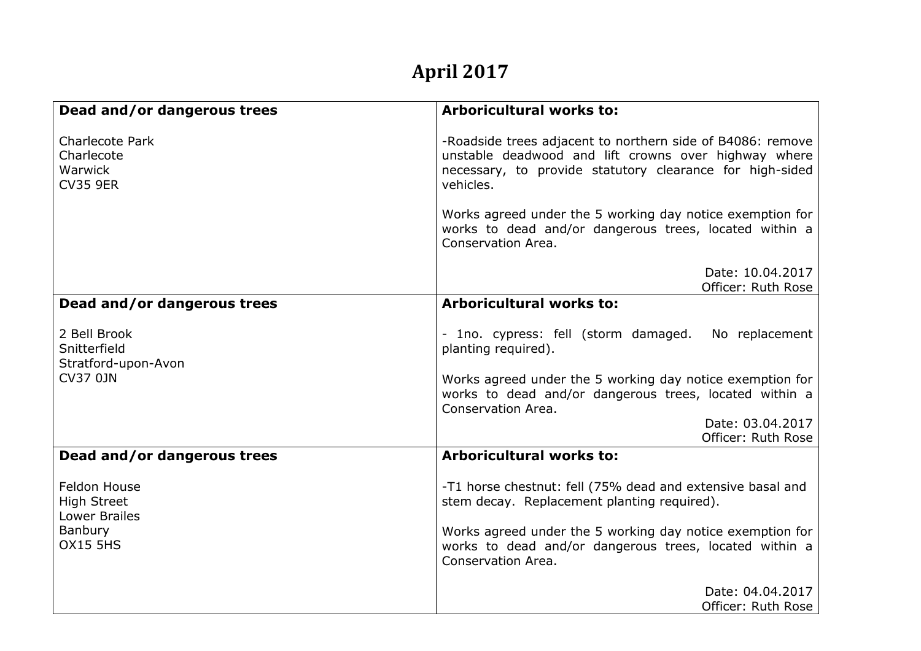## **April 2017**

| Dead and/or dangerous trees                                        | <b>Arboricultural works to:</b>                                                                                                                                                             |
|--------------------------------------------------------------------|---------------------------------------------------------------------------------------------------------------------------------------------------------------------------------------------|
| <b>Charlecote Park</b><br>Charlecote<br>Warwick<br><b>CV35 9ER</b> | -Roadside trees adjacent to northern side of B4086: remove<br>unstable deadwood and lift crowns over highway where<br>necessary, to provide statutory clearance for high-sided<br>vehicles. |
|                                                                    | Works agreed under the 5 working day notice exemption for<br>works to dead and/or dangerous trees, located within a<br>Conservation Area.                                                   |
|                                                                    | Date: 10.04.2017<br>Officer: Ruth Rose                                                                                                                                                      |
| Dead and/or dangerous trees                                        | <b>Arboricultural works to:</b>                                                                                                                                                             |
| 2 Bell Brook<br>Snitterfield<br>Stratford-upon-Avon                | - 1no. cypress: fell (storm damaged.<br>No replacement<br>planting required).                                                                                                               |
| <b>CV37 0JN</b>                                                    | Works agreed under the 5 working day notice exemption for<br>works to dead and/or dangerous trees, located within a<br>Conservation Area.                                                   |
|                                                                    | Date: 03.04.2017<br>Officer: Ruth Rose                                                                                                                                                      |
| Dead and/or dangerous trees                                        | <b>Arboricultural works to:</b>                                                                                                                                                             |
| <b>Feldon House</b><br><b>High Street</b><br><b>Lower Brailes</b>  | -T1 horse chestnut: fell (75% dead and extensive basal and<br>stem decay. Replacement planting required).                                                                                   |
| Banbury<br><b>OX15 5HS</b>                                         | Works agreed under the 5 working day notice exemption for<br>works to dead and/or dangerous trees, located within a<br>Conservation Area.                                                   |
|                                                                    | Date: 04.04.2017<br>Officer: Ruth Rose                                                                                                                                                      |